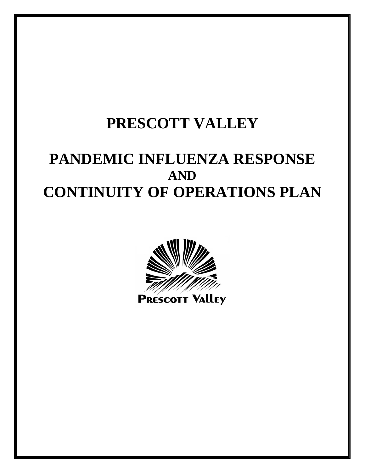# **PRESCOTT VALLEY**

# **PANDEMIC INFLUENZA RESPONSE AND CONTINUITY OF OPERATIONS PLAN**



**PRESCOTT VALLEY**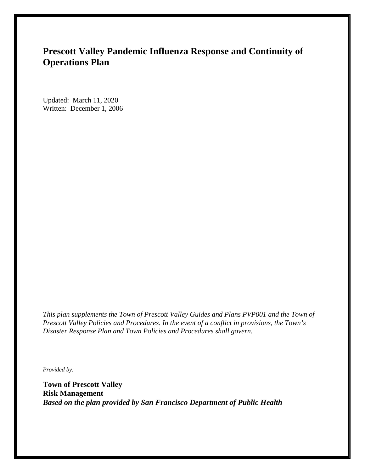# **Prescott Valley Pandemic Influenza Response and Continuity of Operations Plan**

Updated: March 11, 2020 Written: December 1, 2006

*This plan supplements the Town of Prescott Valley Guides and Plans PVP001 and the Town of Prescott Valley Policies and Procedures. In the event of a conflict in provisions, the Town's Disaster Response Plan and Town Policies and Procedures shall govern.*

*Provided by:* 

**Town of Prescott Valley Risk Management** *Based on the plan provided by San Francisco Department of Public Health*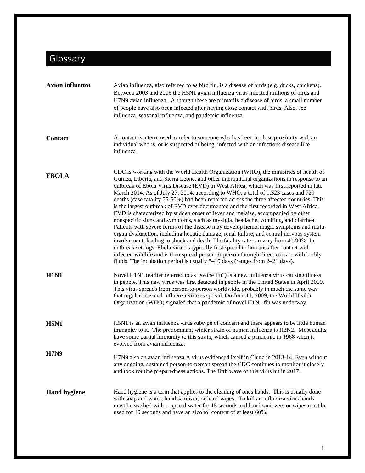# <span id="page-2-1"></span><span id="page-2-0"></span>Glossary

| Avian influenza     | Avian influenza, also referred to as bird flu, is a disease of birds (e.g. ducks, chickens).<br>Between 2003 and 2006 the H5N1 avian influenza virus infected millions of birds and<br>H7N9 avian influenza. Although these are primarily a disease of birds, a small number<br>of people have also been infected after having close contact with birds. Also, see<br>influenza, seasonal influenza, and pandemic influenza.                                                                                                                                                                                                                                                                                                                                                                                                                                                                                                                                                                                                                                                                                                                                                                                                                                                       |
|---------------------|------------------------------------------------------------------------------------------------------------------------------------------------------------------------------------------------------------------------------------------------------------------------------------------------------------------------------------------------------------------------------------------------------------------------------------------------------------------------------------------------------------------------------------------------------------------------------------------------------------------------------------------------------------------------------------------------------------------------------------------------------------------------------------------------------------------------------------------------------------------------------------------------------------------------------------------------------------------------------------------------------------------------------------------------------------------------------------------------------------------------------------------------------------------------------------------------------------------------------------------------------------------------------------|
| <b>Contact</b>      | A contact is a term used to refer to someone who has been in close proximity with an<br>individual who is, or is suspected of being, infected with an infectious disease like<br>influenza.                                                                                                                                                                                                                                                                                                                                                                                                                                                                                                                                                                                                                                                                                                                                                                                                                                                                                                                                                                                                                                                                                        |
| <b>EBOLA</b>        | CDC is working with the World Health Organization (WHO), the ministries of health of<br>Guinea, Liberia, and Sierra Leone, and other international organizations in response to an<br>outbreak of Ebola Virus Disease (EVD) in West Africa, which was first reported in late<br>March 2014. As of July 27, 2014, according to WHO, a total of 1,323 cases and 729<br>deaths (case fatality 55-60%) had been reported across the three affected countries. This<br>is the largest outbreak of EVD ever documented and the first recorded in West Africa.<br>EVD is characterized by sudden onset of fever and malaise, accompanied by other<br>nonspecific signs and symptoms, such as myalgia, headache, vomiting, and diarrhea.<br>Patients with severe forms of the disease may develop hemorrhagic symptoms and multi-<br>organ dysfunction, including hepatic damage, renal failure, and central nervous system<br>involvement, leading to shock and death. The fatality rate can vary from 40-90%. In<br>outbreak settings, Ebola virus is typically first spread to humans after contact with<br>infected wildlife and is then spread person-to-person through direct contact with bodily<br>fluids. The incubation period is usually $8-10$ days (ranges from $2-21$ days). |
| <b>H1N1</b>         | Novel H1N1 (earlier referred to as "swine flu") is a new influenza virus causing illness<br>in people. This new virus was first detected in people in the United States in April 2009.<br>This virus spreads from person-to-person worldwide, probably in much the same way<br>that regular seasonal influenza viruses spread. On June 11, 2009, the World Health<br>Organization (WHO) signaled that a pandemic of novel H1N1 flu was underway.                                                                                                                                                                                                                                                                                                                                                                                                                                                                                                                                                                                                                                                                                                                                                                                                                                   |
| <b>H5N1</b>         | H5N1 is an avian influenza virus subtype of concern and there appears to be little human<br>immunity to it. The predominant winter strain of human influenza is H3N2. Most adults<br>have some partial immunity to this strain, which caused a pandemic in 1968 when it<br>evolved from avian influenza.                                                                                                                                                                                                                                                                                                                                                                                                                                                                                                                                                                                                                                                                                                                                                                                                                                                                                                                                                                           |
| <b>H7N9</b>         | H7N9 also an avian influenza A virus evidenced itself in China in 2013-14. Even without<br>any ongoing, sustained person-to-person spread the CDC continues to monitor it closely<br>and took routine preparedness actions. The fifth wave of this virus hit in 2017.                                                                                                                                                                                                                                                                                                                                                                                                                                                                                                                                                                                                                                                                                                                                                                                                                                                                                                                                                                                                              |
| <b>Hand hygiene</b> | Hand hygiene is a term that applies to the cleaning of ones hands. This is usually done<br>with soap and water, hand sanitizer, or hand wipes. To kill an influenza virus hands<br>must be washed with soap and water for 15 seconds and hand sanitizers or wipes must be<br>used for 10 seconds and have an alcohol content of at least 60%.                                                                                                                                                                                                                                                                                                                                                                                                                                                                                                                                                                                                                                                                                                                                                                                                                                                                                                                                      |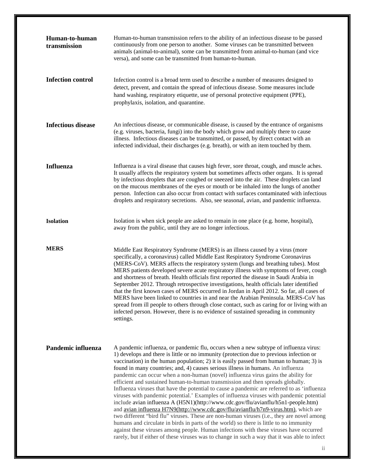| Human-to-human<br>transmission | Human-to-human transmission refers to the ability of an infectious disease to be passed<br>continuously from one person to another. Some viruses can be transmitted between<br>animals (animal-to-animal), some can be transmitted from animal-to-human (and vice<br>versa), and some can be transmitted from human-to-human.                                                                                                                                                                                                                                                                                                                                                                                                                                                                                                                                                                                                                                                                                                                                                                                                                                                                                                                                                                       |
|--------------------------------|-----------------------------------------------------------------------------------------------------------------------------------------------------------------------------------------------------------------------------------------------------------------------------------------------------------------------------------------------------------------------------------------------------------------------------------------------------------------------------------------------------------------------------------------------------------------------------------------------------------------------------------------------------------------------------------------------------------------------------------------------------------------------------------------------------------------------------------------------------------------------------------------------------------------------------------------------------------------------------------------------------------------------------------------------------------------------------------------------------------------------------------------------------------------------------------------------------------------------------------------------------------------------------------------------------|
| <b>Infection control</b>       | Infection control is a broad term used to describe a number of measures designed to<br>detect, prevent, and contain the spread of infectious disease. Some measures include<br>hand washing, respiratory etiquette, use of personal protective equipment (PPE),<br>prophylaxis, isolation, and quarantine.                                                                                                                                                                                                                                                                                                                                                                                                                                                                                                                                                                                                                                                                                                                                                                                                                                                                                                                                                                                          |
| <b>Infectious disease</b>      | An infectious disease, or communicable disease, is caused by the entrance of organisms<br>(e.g. viruses, bacteria, fungi) into the body which grow and multiply there to cause<br>illness. Infectious diseases can be transmitted, or passed, by direct contact with an<br>infected individual, their discharges (e.g. breath), or with an item touched by them.                                                                                                                                                                                                                                                                                                                                                                                                                                                                                                                                                                                                                                                                                                                                                                                                                                                                                                                                    |
| <b>Influenza</b>               | Influenza is a viral disease that causes high fever, sore throat, cough, and muscle aches.<br>It usually affects the respiratory system but sometimes affects other organs. It is spread<br>by infectious droplets that are coughed or sneezed into the air. These droplets can land<br>on the mucous membranes of the eyes or mouth or be inhaled into the lungs of another<br>person. Infection can also occur from contact with surfaces contaminated with infectious<br>droplets and respiratory secretions. Also, see seasonal, avian, and pandemic influenza.                                                                                                                                                                                                                                                                                                                                                                                                                                                                                                                                                                                                                                                                                                                                 |
| <b>Isolation</b>               | Isolation is when sick people are asked to remain in one place (e.g. home, hospital),<br>away from the public, until they are no longer infectious.                                                                                                                                                                                                                                                                                                                                                                                                                                                                                                                                                                                                                                                                                                                                                                                                                                                                                                                                                                                                                                                                                                                                                 |
| <b>MERS</b>                    | Middle East Respiratory Syndrome (MERS) is an illness caused by a virus (more<br>specifically, a coronavirus) called Middle East Respiratory Syndrome Coronavirus<br>(MERS-CoV). MERS affects the respiratory system (lungs and breathing tubes). Most<br>MERS patients developed severe acute respiratory illness with symptoms of fever, cough<br>and shortness of breath. Health officials first reported the disease in Saudi Arabia in<br>September 2012. Through retrospective investigations, health officials later identified<br>that the first known cases of MERS occurred in Jordan in April 2012. So far, all cases of<br>MERS have been linked to countries in and near the Arabian Peninsula. MERS-CoV has<br>spread from ill people to others through close contact, such as caring for or living with an<br>infected person. However, there is no evidence of sustained spreading in community<br>settings.                                                                                                                                                                                                                                                                                                                                                                        |
| Pandemic influenza             | A pandemic influenza, or pandemic flu, occurs when a new subtype of influenza virus:<br>1) develops and there is little or no immunity (protection due to previous infection or<br>vaccination) in the human population; 2) it is easily passed from human to human; 3) is<br>found in many countries; and, 4) causes serious illness in humans. An influenza<br>pandemic can occur when a non-human (novel) influenza virus gains the ability for<br>efficient and sustained human-to-human transmission and then spreads globally.<br>Influenza viruses that have the potential to cause a pandemic are referred to as 'influenza<br>viruses with pandemic potential.' Examples of influenza viruses with pandemic potential<br>include avian influenza A (H5N1)(http://www.cdc.gov/flu/avianflu/h5n1-people.htm)<br>and <u>avian influenza H7N9(http://www.cdc.gov/flu/avianflu/h7n9-virus.htm)</u> , which are<br>two different "bird flu" viruses. These are non-human viruses (i.e., they are novel among<br>humans and circulate in birds in parts of the world) so there is little to no immunity<br>against these viruses among people. Human infections with these viruses have occurred<br>rarely, but if either of these viruses was to change in such a way that it was able to infect |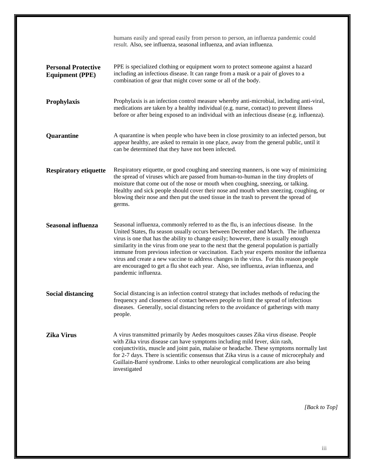|                                                      | humans easily and spread easily from person to person, an influenza pandemic could<br>result. Also, see influenza, seasonal influenza, and avian influenza.                                                                                                                                                                                                                                                                                                                                                                                                                                                                                                           |
|------------------------------------------------------|-----------------------------------------------------------------------------------------------------------------------------------------------------------------------------------------------------------------------------------------------------------------------------------------------------------------------------------------------------------------------------------------------------------------------------------------------------------------------------------------------------------------------------------------------------------------------------------------------------------------------------------------------------------------------|
| <b>Personal Protective</b><br><b>Equipment (PPE)</b> | PPE is specialized clothing or equipment worn to protect someone against a hazard<br>including an infectious disease. It can range from a mask or a pair of gloves to a<br>combination of gear that might cover some or all of the body.                                                                                                                                                                                                                                                                                                                                                                                                                              |
| <b>Prophylaxis</b>                                   | Prophylaxis is an infection control measure whereby anti-microbial, including anti-viral,<br>medications are taken by a healthy individual (e.g. nurse, contact) to prevent illness<br>before or after being exposed to an individual with an infectious disease (e.g. influenza).                                                                                                                                                                                                                                                                                                                                                                                    |
| Quarantine                                           | A quarantine is when people who have been in close proximity to an infected person, but<br>appear healthy, are asked to remain in one place, away from the general public, until it<br>can be determined that they have not been infected.                                                                                                                                                                                                                                                                                                                                                                                                                            |
| <b>Respiratory etiquette</b>                         | Respiratory etiquette, or good coughing and sneezing manners, is one way of minimizing<br>the spread of viruses which are passed from human-to-human in the tiny droplets of<br>moisture that come out of the nose or mouth when coughing, sneezing, or talking.<br>Healthy and sick people should cover their nose and mouth when sneezing, coughing, or<br>blowing their nose and then put the used tissue in the trash to prevent the spread of<br>germs.                                                                                                                                                                                                          |
| <b>Seasonal influenza</b>                            | Seasonal influenza, commonly referred to as the flu, is an infectious disease. In the<br>United States, flu season usually occurs between December and March. The influenza<br>virus is one that has the ability to change easily; however, there is usually enough<br>similarity in the virus from one year to the next that the general population is partially<br>immune from previous infection or vaccination. Each year experts monitor the influenza<br>virus and create a new vaccine to address changes in the virus. For this reason people<br>are encouraged to get a flu shot each year. Also, see influenza, avian influenza, and<br>pandemic influenza. |
| Social distancing                                    | Social distancing is an infection control strategy that includes methods of reducing the<br>frequency and closeness of contact between people to limit the spread of infectious<br>diseases. Generally, social distancing refers to the avoidance of gatherings with many<br>people.                                                                                                                                                                                                                                                                                                                                                                                  |
| <b>Zika Virus</b>                                    | A virus transmitted primarily by Aedes mosquitoes causes Zika virus disease. People<br>with Zika virus disease can have symptoms including mild fever, skin rash,<br>conjunctivitis, muscle and joint pain, malaise or headache. These symptoms normally last<br>for 2-7 days. There is scientific consensus that Zika virus is a cause of microcephaly and<br>Guillain-Barré syndrome. Links to other neurological complications are also being<br>investigated                                                                                                                                                                                                      |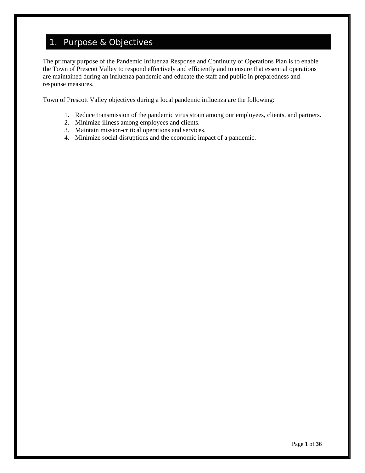# 1. Purpose & Objectives

The primary purpose of the Pandemic Influenza Response and Continuity of Operations Plan is to enable the Town of Prescott Valley to respond effectively and efficiently and to ensure that essential operations are maintained during an influenza pandemic and educate the staff and public in preparedness and response measures.

Town of Prescott Valley objectives during a local pandemic influenza are the following:

- 1. Reduce transmission of the pandemic virus strain among our employees, clients, and partners.
- 2. Minimize illness among employees and clients.
- 3. Maintain mission-critical operations and services.
- 4. Minimize social disruptions and the economic impact of a pandemic.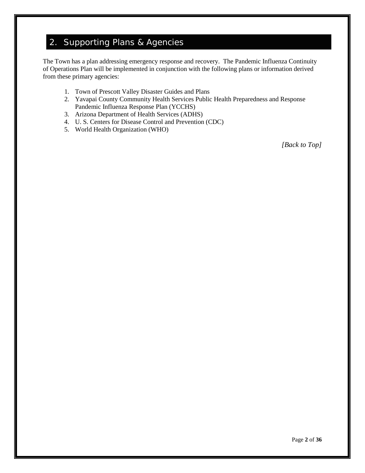# 2. Supporting Plans & Agencies

The Town has a plan addressing emergency response and recovery. The Pandemic Influenza Continuity of Operations Plan will be implemented in conjunction with the following plans or information derived from these primary agencies:

- 1. Town of Prescott Valley Disaster Guides and Plans
- 2. Yavapai County Community Health Services Public Health Preparedness and Response Pandemic Influenza Response Plan (YCCHS)
- 3. Arizona Department of Health Services (ADHS)
- 4. U. S. Centers for Disease Control and Prevention (CDC)
- 5. World Health Organization (WHO)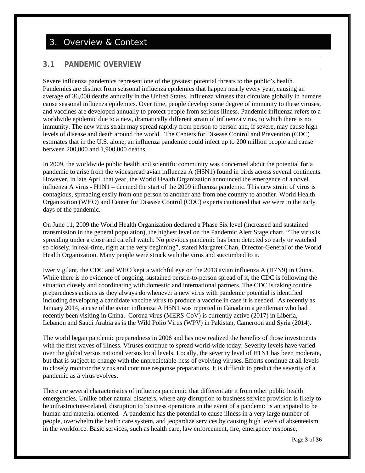# 3. Overview & Context

## **3.1 PANDEMIC OVERVIEW**

Severe influenza pandemics represent one of the greatest potential threats to the public's health. Pandemics are distinct from seasonal influenza epidemics that happen nearly every year, causing an average of 36,000 deaths annually in the United States. Influenza viruses that circulate globally in humans cause seasonal influenza epidemics. Over time, people develop some degree of immunity to these viruses, and vaccines are developed annually to protect people from serious illness. Pandemic influenza refers to a worldwide epidemic due to a new, dramatically different strain of influenza virus, to which there is no immunity. The new virus strain may spread rapidly from person to person and, if severe, may cause high levels of disease and death around the world. The Centers for Disease Control and Prevention (CDC) estimates that in the U.S. alone, an influenza pandemic could infect up to 200 million people and cause between 200,000 and 1,900,000 deaths.

In 2009, the worldwide public health and scientific community was concerned about the potential for a pandemic to arise from the widespread avian influenza A (H5N1) found in birds across several continents. However, in late April that year, the World Health Organization announced the emergence of a novel influenza A virus - H1N1 – deemed the start of the 2009 influenza pandemic. This new strain of virus is contagious, spreading easily from one person to another and from one country to another. World Health Organization (WHO) and Center for Disease Control (CDC) experts cautioned that we were in the early days of the pandemic.

On June 11, 2009 the World Health Organization declared a Phase Six level (increased and sustained transmission in the general population), the highest level on the Pandemic Alert Stage chart. "The virus is spreading under a close and careful watch. No previous pandemic has been detected so early or watched so closely, in real-time, right at the very beginning", stated Margaret Chan, Director-General of the World Health Organization. Many people were struck with the virus and succumbed to it.

Ever vigilant, the CDC and WHO kept a watchful eye on the 2013 avian influenza A (H7N9) in China. While there is no evidence of ongoing, sustained person-to-person spread of it, the CDC is following the situation closely and coordinating with domestic and international partners. The CDC is taking routine preparedness actions as they always do whenever a new virus with pandemic potential is identified including developing a candidate vaccine virus to produce a vaccine in case it is needed. As recently as January 2014, a case of the avian influenza A H5N1 was reported in Canada in a gentleman who had recently been visiting in China. Corona virus (MERS-CoV) is currently active (2017) in Liberia, Lebanon and Saudi Arabia as is the Wild Polio Virus (WPV) in Pakistan, Cameroon and Syria (2014).

The world began pandemic preparedness in 2006 and has now realized the benefits of those investments with the first waves of illness. Viruses continue to spread world-wide today. Severity levels have varied over the global versus national versus local levels. Locally, the severity level of H1N1 has been moderate, but that is subject to change with the unpredictable-ness of evolving viruses. Efforts continue at all levels to closely monitor the virus and continue response preparations. It is difficult to predict the severity of a pandemic as a virus evolves.

There are several characteristics of influenza pandemic that differentiate it from other public health emergencies. Unlike other natural disasters, where any disruption to business service provision is likely to be infrastructure-related, disruption to business operations in the event of a pandemic is anticipated to be human and material oriented. A pandemic has the potential to cause illness in a very large number of people, overwhelm the health care system, and jeopardize services by causing high levels of absenteeism in the workforce. Basic services, such as health care, law enforcement, fire, emergency response,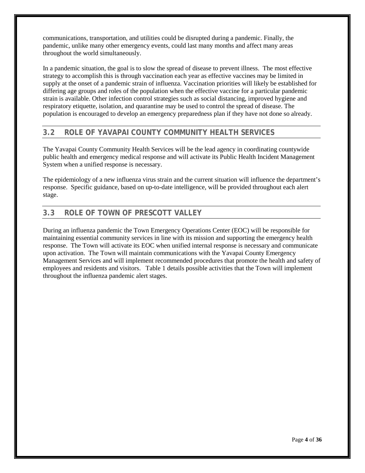communications, transportation, and utilities could be disrupted during a pandemic. Finally, the pandemic, unlike many other emergency events, could last many months and affect many areas throughout the world simultaneously.

In a pandemic situation, the goal is to slow the spread of disease to prevent illness. The most effective strategy to accomplish this is through vaccination each year as effective vaccines may be limited in supply at the onset of a pandemic strain of influenza. Vaccination priorities will likely be established for differing age groups and roles of the population when the effective vaccine for a particular pandemic strain is available. Other infection control strategies such as social distancing, improved hygiene and respiratory etiquette, isolation, and quarantine may be used to control the spread of disease. The population is encouraged to develop an emergency preparedness plan if they have not done so already.

## **3.2 ROLE OF YAVAPAI COUNTY COMMUNITY HEALTH SERVICES**

The Yavapai County Community Health Services will be the lead agency in coordinating countywide public health and emergency medical response and will activate its Public Health Incident Management System when a unified response is necessary.

The epidemiology of a new influenza virus strain and the current situation will influence the department's response. Specific guidance, based on up-to-date intelligence, will be provided throughout each alert stage.

## **3.3 ROLE OF TOWN OF PRESCOTT VALLEY**

During an influenza pandemic the Town Emergency Operations Center (EOC) will be responsible for maintaining essential community services in line with its mission and supporting the emergency health response. The Town will activate its EOC when unified internal response is necessary and communicate upon activation. The Town will maintain communications with the Yavapai County Emergency Management Services and will implement recommended procedures that promote the health and safety of employees and residents and visitors. Table 1 details possible activities that the Town will implement throughout the influenza pandemic alert stages.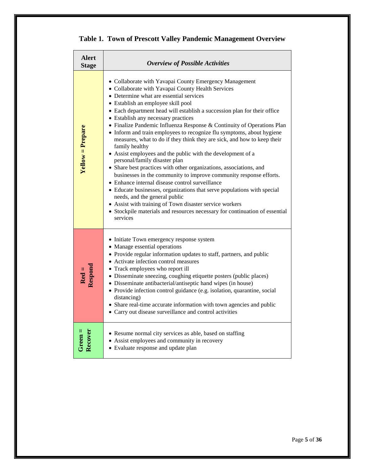|  |  |  |  | Table 1. Town of Prescott Valley Pandemic Management Overview |  |
|--|--|--|--|---------------------------------------------------------------|--|
|--|--|--|--|---------------------------------------------------------------|--|

| Alert<br><b>Stage</b>                 | <b>Overview of Possible Activities</b>                                                                                                                                                                                                                                                                                                                                                                                                                                                                                                                                                                                                                                                                                                                                                                                                                                                                                                                                                                                                                                                                                           |
|---------------------------------------|----------------------------------------------------------------------------------------------------------------------------------------------------------------------------------------------------------------------------------------------------------------------------------------------------------------------------------------------------------------------------------------------------------------------------------------------------------------------------------------------------------------------------------------------------------------------------------------------------------------------------------------------------------------------------------------------------------------------------------------------------------------------------------------------------------------------------------------------------------------------------------------------------------------------------------------------------------------------------------------------------------------------------------------------------------------------------------------------------------------------------------|
| $Yellow = Prepare$                    | • Collaborate with Yavapai County Emergency Management<br>• Collaborate with Yavapai County Health Services<br>• Determine what are essential services<br>• Establish an employee skill pool<br>• Each department head will establish a succession plan for their office<br>• Establish any necessary practices<br>• Finalize Pandemic Influenza Response & Continuity of Operations Plan<br>• Inform and train employees to recognize flu symptoms, about hygiene<br>measures, what to do if they think they are sick, and how to keep their<br>family healthy<br>• Assist employees and the public with the development of a<br>personal/family disaster plan<br>• Share best practices with other organizations, associations, and<br>businesses in the community to improve community response efforts.<br>• Enhance internal disease control surveillance<br>• Educate businesses, organizations that serve populations with special<br>needs, and the general public<br>• Assist with training of Town disaster service workers<br>• Stockpile materials and resources necessary for continuation of essential<br>services |
| $\frac{\text{Red} =}{\text{Respond}}$ | • Initiate Town emergency response system<br>• Manage essential operations<br>• Provide regular information updates to staff, partners, and public<br>• Activate infection control measures<br>• Track employees who report ill<br>• Disseminate sneezing, coughing etiquette posters (public places)<br>• Disseminate antibacterial/antiseptic hand wipes (in house)<br>• Provide infection control guidance (e.g. isolation, quarantine, social<br>distancing)<br>• Share real-time accurate information with town agencies and public<br>• Carry out disease surveillance and control activities                                                                                                                                                                                                                                                                                                                                                                                                                                                                                                                              |
|                                       | • Resume normal city services as able, based on staffing<br>• Assist employees and community in recovery<br>• Evaluate response and update plan                                                                                                                                                                                                                                                                                                                                                                                                                                                                                                                                                                                                                                                                                                                                                                                                                                                                                                                                                                                  |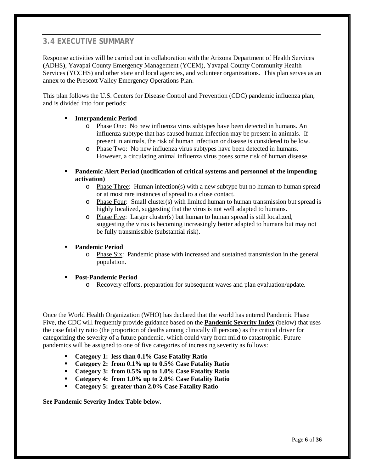## **3.4 EXECUTIVE SUMMARY**

Response activities will be carried out in collaboration with the Arizona Department of Health Services (ADHS), Yavapai County Emergency Management (YCEM), Yavapai County Community Health Services (YCCHS) and other state and local agencies, and volunteer organizations. This plan serves as an annex to the Prescott Valley Emergency Operations Plan.

This plan follows the U.S. Centers for Disease Control and Prevention (CDC) pandemic influenza plan, and is divided into four periods:

#### **Interpandemic Period**

- o Phase One: No new influenza virus subtypes have been detected in humans. An influenza subtype that has caused human infection may be present in animals. If present in animals, the risk of human infection or disease is considered to be low.
- o Phase Two: No new influenza virus subtypes have been detected in humans. However, a circulating animal influenza virus poses some risk of human disease.
- **Pandemic Alert Period (notification of critical systems and personnel of the impending activation)**
	- o Phase Three: Human infection(s) with a new subtype but no human to human spread or at most rare instances of spread to a close contact.
	- o Phase Four: Small cluster(s) with limited human to human transmission but spread is highly localized, suggesting that the virus is not well adapted to humans.
	- o Phase Five: Larger cluster(s) but human to human spread is still localized, suggesting the virus is becoming increasingly better adapted to humans but may not be fully transmissible (substantial risk).

#### **Pandemic Period**

o Phase Six: Pandemic phase with increased and sustained transmission in the general population.

#### **Post-Pandemic Period**

o Recovery efforts, preparation for subsequent waves and plan evaluation/update.

Once the World Health Organization (WHO) has declared that the world has entered Pandemic Phase Five, the CDC will frequently provide guidance based on the **Pandemic Severity Index** (below) that uses the case fatality ratio (the proportion of deaths among clinically ill persons) as the critical driver for categorizing the severity of a future pandemic, which could vary from mild to catastrophic. Future pandemics will be assigned to one of five categories of increasing severity as follows:

- **Category 1: less than 0.1% Case Fatality Ratio**
- **Category 2: from 0.1% up to 0.5% Case Fatality Ratio**
- **Category 3: from 0.5% up to 1.0% Case Fatality Ratio**
- **Category 4: from 1.0% up to 2.0% Case Fatality Ratio**
- **Category 5: greater than 2.0% Case Fatality Ratio**

**See Pandemic Severity Index Table below.**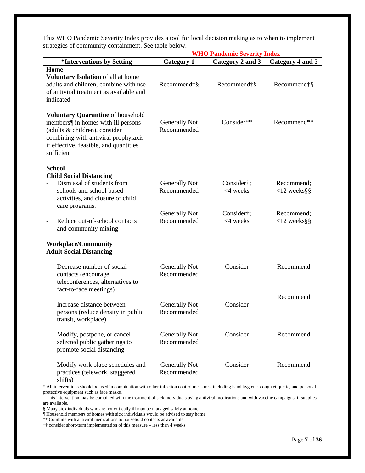This WHO Pandemic Severity Index provides a tool for local decision making as to when to implement strategies of community containment. See table below.

|                                                                                                                                                                                                          |                                                                                                                                                | <b>WHO Pandemic Severity Index</b>  |                           |                              |  |  |
|----------------------------------------------------------------------------------------------------------------------------------------------------------------------------------------------------------|------------------------------------------------------------------------------------------------------------------------------------------------|-------------------------------------|---------------------------|------------------------------|--|--|
| *Interventions by Setting                                                                                                                                                                                |                                                                                                                                                | <b>Category 1</b>                   | Category 2 and 3          | Category 4 and 5             |  |  |
| Home<br>Voluntary Isolation of all at home<br>adults and children, combine with use<br>of antiviral treatment as available and<br>indicated                                                              |                                                                                                                                                | Recommend†§                         | Recommend†§               | Recommend†§                  |  |  |
| Voluntary Quarantine of household<br>members¶ in homes with ill persons<br>(adults & children), consider<br>combining with antiviral prophylaxis<br>if effective, feasible, and quantities<br>sufficient |                                                                                                                                                | <b>Generally Not</b><br>Recommended | Consider**                | Recommend**                  |  |  |
|                                                                                                                                                                                                          | <b>School</b>                                                                                                                                  |                                     |                           |                              |  |  |
|                                                                                                                                                                                                          | <b>Child Social Distancing</b><br>Dismissal of students from<br>schools and school based<br>activities, and closure of child<br>care programs. | Generally Not<br>Recommended        | Consider†;<br>$<$ 4 weeks | Recommend:<br>$<$ 12 weeks§§ |  |  |
| $\overline{\phantom{a}}$                                                                                                                                                                                 | Reduce out-of-school contacts<br>and community mixing                                                                                          | Generally Not<br>Recommended        | Consider†;<br>$<$ 4 weeks | Recommend;<br>$<$ 12 weeks§§ |  |  |
|                                                                                                                                                                                                          | <b>Workplace/Community</b><br><b>Adult Social Distancing</b>                                                                                   |                                     |                           |                              |  |  |
| $\overline{\phantom{a}}$                                                                                                                                                                                 | Decrease number of social<br>contacts (encourage<br>teleconferences, alternatives to<br>fact-to-face meetings)                                 | Generally Not<br>Recommended        | Consider                  | Recommend                    |  |  |
| $\overline{\phantom{0}}$                                                                                                                                                                                 | Increase distance between<br>persons (reduce density in public<br>transit, workplace)                                                          | Generally Not<br>Recommended        | Consider                  | Recommend                    |  |  |
|                                                                                                                                                                                                          | Modify, postpone, or cancel<br>selected public gatherings to<br>promote social distancing                                                      | Generally Not<br>Recommended        | Consider                  | Recommend                    |  |  |
| $\qquad \qquad \blacksquare$                                                                                                                                                                             | Modify work place schedules and<br>practices (telework, staggered<br>shifts)                                                                   | <b>Generally Not</b><br>Recommended | Consider                  | Recommend                    |  |  |

\* All interventions should be used in combination with other infection control measures, including hand hygiene, cough etiquette, and personal protective equipment such as face masks.

† This intervention may be combined with the treatment of sick individuals using antiviral medications and with vaccine campaigns, if supplies are available.

§ Many sick individuals who are not critically ill may be managed safely at home

¶ Household members of homes with sick individuals would be advised to stay home

\*\* Combine with antiviral medications to household contacts as available

†† consider short-term implementation of this measure – less than 4 weeks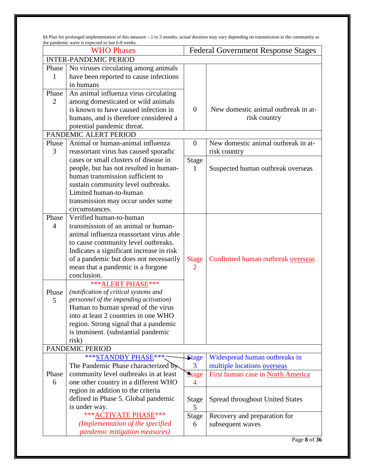§§ Plan for prolonged implementation of this measure – 1 to 3 months; actual duration may vary depending on transmission in the community as the pandemic wave is expected to last 6-8 weeks.

| <b>WHO Phases</b>            |                                          |                | <b>Federal Government Response Stages</b> |  |  |
|------------------------------|------------------------------------------|----------------|-------------------------------------------|--|--|
| <b>INTER-PANDEMIC PERIOD</b> |                                          |                |                                           |  |  |
| Phase                        | No viruses circulating among animals     |                |                                           |  |  |
| $\mathbf{1}$                 | have been reported to cause infections   |                |                                           |  |  |
|                              | in humans                                |                |                                           |  |  |
| Phase                        | An animal influenza virus circulating    |                |                                           |  |  |
| $\overline{2}$               | among domesticated or wild animals       |                |                                           |  |  |
|                              | is known to have caused infection in     | $\theta$       | New domestic animal outbreak in at-       |  |  |
|                              | humans, and is therefore considered a    |                | risk country                              |  |  |
|                              | potential pandemic threat.               |                |                                           |  |  |
|                              | PANDEMIC ALERT PERIOD                    |                |                                           |  |  |
| Phase                        | Animal or human-animal influenza         | $\theta$       | New domestic animal outbreak in at-       |  |  |
| 3                            | reassortant virus has caused sporadic    |                | risk country                              |  |  |
|                              | cases or small clusters of disease in    | <b>Stage</b>   |                                           |  |  |
|                              | people, but has not resulted in human-   | 1              | Suspected human outbreak overseas         |  |  |
|                              | human transmission sufficient to         |                |                                           |  |  |
|                              | sustain community level outbreaks.       |                |                                           |  |  |
|                              | Limited human-to-human                   |                |                                           |  |  |
|                              | transmission may occur under some        |                |                                           |  |  |
|                              | circumstances.                           |                |                                           |  |  |
| Phase                        | Verified human-to-human                  |                |                                           |  |  |
| $\overline{4}$               | transmission of an animal or human-      |                |                                           |  |  |
|                              | animal influenza reassortant virus able  |                |                                           |  |  |
|                              | to cause community level outbreaks.      |                |                                           |  |  |
|                              | Indicates a significant increase in risk |                |                                           |  |  |
|                              | of a pandemic but does not necessarily   | <b>Stage</b>   | Confirmed human outbreak overseas         |  |  |
|                              | mean that a pandemic is a forgone        | $\overline{2}$ |                                           |  |  |
|                              | conclusion.                              |                |                                           |  |  |
|                              | *** ALERT PHASE***                       |                |                                           |  |  |
| Phase                        | (notification of critical systems and    |                |                                           |  |  |
| 5                            | personnel of the impending activation)   |                |                                           |  |  |
|                              | Human to human spread of the virus       |                |                                           |  |  |
|                              | into at least 2 countries in one WHO     |                |                                           |  |  |
|                              | region. Strong signal that a pandemic    |                |                                           |  |  |
|                              | is imminent. (substantial pandemic       |                |                                           |  |  |
|                              | risk)                                    |                |                                           |  |  |
|                              | PANDEMIC PERIOD                          |                |                                           |  |  |
|                              | ***STANDBY PHASE***                      | <b>Stage</b>   | Widespread human outbreaks in             |  |  |
|                              | The Pandemic Phase characterized by      | 3              | multiple locations overseas               |  |  |
| Phase                        | community level outbreaks in at least    | <b>Stage</b>   | First human case in North America         |  |  |
| 6                            | one other country in a different WHO     | $\overline{4}$ |                                           |  |  |
|                              | region in addition to the criteria       |                |                                           |  |  |
|                              | defined in Phase 5. Global pandemic      | <b>Stage</b>   | <b>Spread throughout United States</b>    |  |  |
|                              | is under way.                            | 5              |                                           |  |  |
|                              | *** ACTIVATE PHASE***                    | <b>Stage</b>   | Recovery and preparation for              |  |  |
|                              | (Implementation of the specified         | 6              | subsequent waves                          |  |  |
|                              | pandemic mitigation measures)            |                |                                           |  |  |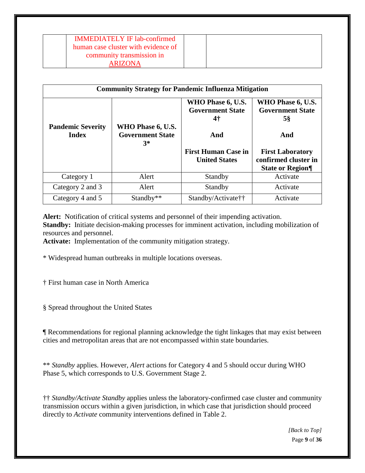| <b>IMMEDIATELY IF lab-confirmed</b> |  |  |
|-------------------------------------|--|--|
| human case cluster with evidence of |  |  |
| community transmission in           |  |  |
| <b>ARIZONA</b>                      |  |  |

| <b>Community Strategy for Pandemic Influenza Mitigation</b> |                                                      |                                                    |                                                    |  |  |  |
|-------------------------------------------------------------|------------------------------------------------------|----------------------------------------------------|----------------------------------------------------|--|--|--|
|                                                             |                                                      | WHO Phase 6, U.S.<br><b>Government State</b><br>4† | WHO Phase 6, U.S.<br><b>Government State</b><br>5§ |  |  |  |
| <b>Pandemic Severity</b><br><b>Index</b>                    | WHO Phase 6, U.S.<br><b>Government State</b><br>$3*$ | And<br>And                                         |                                                    |  |  |  |
|                                                             |                                                      | <b>First Human Case in</b><br><b>United States</b> | <b>First Laboratory</b><br>confirmed cluster in    |  |  |  |
|                                                             |                                                      |                                                    | <b>State or Region</b>                             |  |  |  |
| Category 1                                                  | Alert                                                | Standby                                            | Activate                                           |  |  |  |
| Category 2 and 3                                            | Alert                                                | Standby                                            | Activate                                           |  |  |  |
| Category 4 and 5                                            | Standby**                                            | Standby/Activate††                                 | Activate                                           |  |  |  |

**Alert:** Notification of critical systems and personnel of their impending activation. **Standby:** Initiate decision-making processes for imminent activation, including mobilization of resources and personnel.

**Activate:** Implementation of the community mitigation strategy.

\* Widespread human outbreaks in multiple locations overseas.

† First human case in North America

§ Spread throughout the United States

¶ Recommendations for regional planning acknowledge the tight linkages that may exist between cities and metropolitan areas that are not encompassed within state boundaries.

\*\* *Standby* applies. However, *Alert* actions for Category 4 and 5 should occur during WHO Phase 5, which corresponds to U.S. Government Stage 2.

†† *Standby/Activate Standby* applies unless the laboratory-confirmed case cluster and community transmission occurs within a given jurisdiction, in which case that jurisdiction should proceed directly to *Activate* community interventions defined in Table 2.

> Page **9** of **36** *[\[Back to Top\]](#page-2-0)*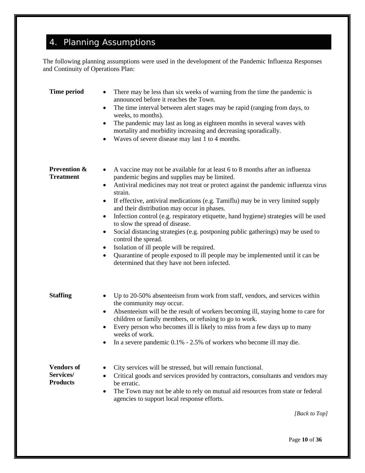# 4. Planning Assumptions

The following planning assumptions were used in the development of the Pandemic Influenza Responses and Continuity of Operations Plan:

| <b>Time period</b>                                | There may be less than six weeks of warning from the time the pandemic is<br>$\bullet$<br>announced before it reaches the Town.<br>The time interval between alert stages may be rapid (ranging from days, to<br>٠<br>weeks, to months).<br>The pandemic may last as long as eighteen months in several waves with<br>٠<br>mortality and morbidity increasing and decreasing sporadically.<br>Waves of severe disease may last 1 to 4 months.<br>$\bullet$                                                                                                                                                                                                                                                                                                                                                                      |
|---------------------------------------------------|---------------------------------------------------------------------------------------------------------------------------------------------------------------------------------------------------------------------------------------------------------------------------------------------------------------------------------------------------------------------------------------------------------------------------------------------------------------------------------------------------------------------------------------------------------------------------------------------------------------------------------------------------------------------------------------------------------------------------------------------------------------------------------------------------------------------------------|
| <b>Prevention &amp;</b><br><b>Treatment</b>       | A vaccine may not be available for at least 6 to 8 months after an influenza<br>٠<br>pandemic begins and supplies may be limited.<br>Antiviral medicines may not treat or protect against the pandemic influenza virus<br>$\bullet$<br>strain.<br>If effective, antiviral medications (e.g. Tamiflu) may be in very limited supply<br>٠<br>and their distribution may occur in phases.<br>Infection control (e.g. respiratory etiquette, hand hygiene) strategies will be used<br>٠<br>to slow the spread of disease.<br>Social distancing strategies (e.g. postponing public gatherings) may be used to<br>٠<br>control the spread.<br>Isolation of ill people will be required.<br>$\bullet$<br>Quarantine of people exposed to ill people may be implemented until it can be<br>determined that they have not been infected. |
| <b>Staffing</b>                                   | Up to 20-50% absenteeism from work from staff, vendors, and services within<br>$\bullet$<br>the community may occur.<br>Absenteeism will be the result of workers becoming ill, staying home to care for<br>٠<br>children or family members, or refusing to go to work.<br>Every person who becomes ill is likely to miss from a few days up to many<br>٠<br>weeks of work.<br>In a severe pandemic 0.1% - 2.5% of workers who become ill may die.<br>٠                                                                                                                                                                                                                                                                                                                                                                         |
| <b>Vendors</b> of<br>Services/<br><b>Products</b> | City services will be stressed, but will remain functional.<br>Critical goods and services provided by contractors, consultants and vendors may<br>$\bullet$<br>be erratic.<br>The Town may not be able to rely on mutual aid resources from state or federal<br>٠<br>agencies to support local response efforts.<br>[Back to Top]                                                                                                                                                                                                                                                                                                                                                                                                                                                                                              |
|                                                   |                                                                                                                                                                                                                                                                                                                                                                                                                                                                                                                                                                                                                                                                                                                                                                                                                                 |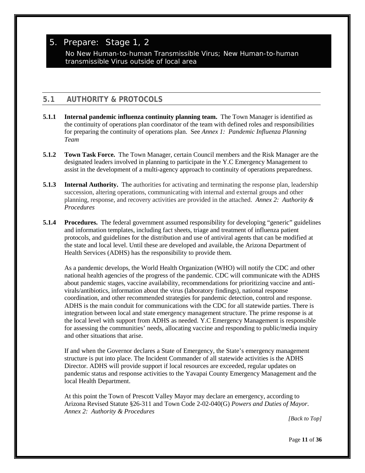# 5. Prepare: Stage 1, 2

No New Human-to-human Transmissible Virus; New Human-to-human transmissible Virus outside of local area

# **5.1 AUTHORITY & PROTOCOLS**

- **5.1.1 Internal pandemic influenza continuity planning team.** The Town Manager is identified as the continuity of operations plan coordinator of the team with defined roles and responsibilities for preparing the continuity of operations plan. See *Annex 1: Pandemic Influenza Planning Team*
- **5.1.2 Town Task Force.** The Town Manager, certain Council members and the Risk Manager are the designated leaders involved in planning to participate in the Y.C Emergency Management to assist in the development of a multi-agency approach to continuity of operations preparedness.
- **5.1.3 Internal Authority.** The authorities for activating and terminating the response plan, leadership succession, altering operations, communicating with internal and external groups and other planning, response, and recovery activities are provided in the attached. *[Annex 2: Authority &](#page-24-0)  [Procedures](#page-24-0)*
- **5.1.4 Procedures.** The federal government assumed responsibility for developing "generic" guidelines and information templates, including fact sheets, triage and treatment of influenza patient protocols, and guidelines for the distribution and use of antiviral agents that can be modified at the state and local level. Until these are developed and available, the Arizona Department of Health Services (ADHS) has the responsibility to provide them.

As a pandemic develops, the World Health Organization (WHO) will notify the CDC and other national health agencies of the progress of the pandemic. CDC will communicate with the ADHS about pandemic stages, vaccine availability, recommendations for prioritizing vaccine and antivirals/antibiotics, information about the virus (laboratory findings), national response coordination, and other recommended strategies for pandemic detection, control and response. ADHS is the main conduit for communications with the CDC for all statewide parties. There is integration between local and state emergency management structure. The prime response is at the local level with support from ADHS as needed. Y.C Emergency Management is responsible for assessing the communities' needs, allocating vaccine and responding to public/media inquiry and other situations that arise.

If and when the Governor declares a State of Emergency, the State's emergency management structure is put into place. The Incident Commander of all statewide activities is the ADHS Director. ADHS will provide support if local resources are exceeded, regular updates on pandemic status and response activities to the Yavapai County Emergency Management and the local Health Department.

At this point the Town of Prescott Valley Mayor may declare an emergency, according to Arizona Revised Statute §26-311 and Town Code 2-02-040(G) *Powers and Duties of Mayor*. *[Annex 2: Authority & Procedures](#page-24-0)*

*[\[Back to Top\]](#page-2-0)*

Page **11** of **36**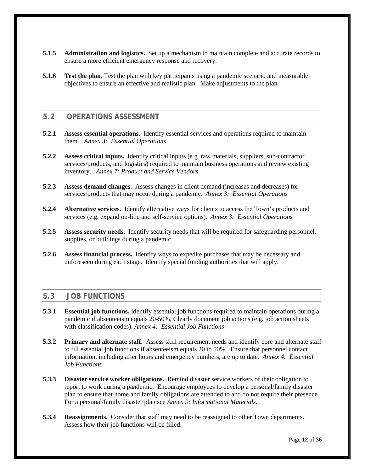- **5.1.5 Administration and logistics.** Set up a mechanism to maintain complete and accurate records to ensure a more efficient emergency response and recovery.
- **5.1.6 Test the plan.** Test the plan with key participants using a pandemic scenario and measurable objectives to ensure an effective and realistic plan. Make adjustments to the plan.

### **5.2 OPERATIONS ASSESSMENT**

- **5.2.1 Assess essential operations.** Identify essential services and operations required to maintain them. *[Annex 3: Essential Operations](#page-25-0)*
- **5.2.2 Assess critical inputs.** Identify critical inputs (e.g. raw materials, suppliers, sub-contractor services/products, and logistics) required to maintain business operations and review existing inventory. *Annex 7: Product and Service Vendors.*
- **5.2.3 Assess demand changes.** Assess changes in client demand (increases and decreases) for services/products that may occur during a pandemic. *[Annex 3: Essential Operations](#page-25-0)*
- **5.2.4 Alternative services.** Identify alternative ways for clients to access the Town's products and services (e.g. expand on-line and self-service options). *[Annex 3: Essential Operations](#page-25-0)*
- **5.2.5 Assess security needs.** Identify security needs that will be required for safeguarding personnel, supplies, or buildings during a pandemic.
- **5.2.6 Assess financial process.** Identify ways to expedite purchases that may be necessary and unforeseen during each stage. Identify special funding authorities that will apply.

#### **5.3 JOB FUNCTIONS**

- **5.3.1 Essential job functions.** Identify essential job functions required to maintain operations during a pandemic if absenteeism equals 20-50%. Clearly document job actions (e.g. job action sheets with classification codes). *Annex 4: Essential Job Functions*
- **5.3.2 Primary and alternate staff.** Assess skill requirement needs and identify core and alternate staff to fill essential job functions if absenteeism equals 20 to 50%. Ensure that personnel contact information, including after hours and emergency numbers, are up to date. *Annex 4: Essential Job Functions*
- **5.3.3 Disaster service worker obligations.** Remind disaster service workers of their obligation to report to work during a pandemic. Encourage employees to develop a personal/family disaster plan to ensure that home and family obligations are attended to and do not require their presence. For a personal/family disaster plan see *[Annex 9: Informational Materials.](#page-31-0)*
- **5.3.4 Reassignments.** Consider that staff may need to be reassigned to other Town departments. Assess how their job functions will be filled.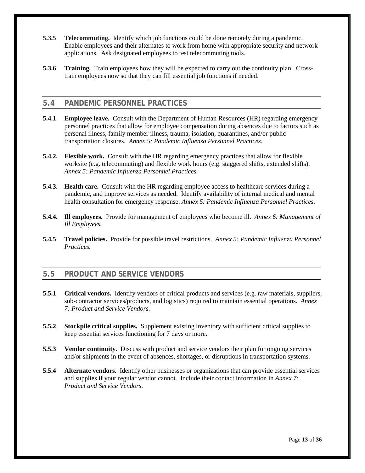- **5.3.5 Telecommuting.** Identify which job functions could be done remotely during a pandemic. Enable employees and their alternates to work from home with appropriate security and network applications. Ask designated employees to test telecommuting tools.
- **5.3.6 Training.** Train employees how they will be expected to carry out the continuity plan. Crosstrain employees now so that they can fill essential job functions if needed.

#### **5.4 PANDEMIC PERSONNEL PRACTICES**

- **5.4.1 Employee leave.** Consult with the Department of Human Resources (HR) regarding emergency personnel practices that allow for employee compensation during absences due to factors such as personal illness, family member illness, trauma, isolation, quarantines, and/or public transportation closures. *[Annex 5: Pandemic Influenza Personnel Practices.](#page-25-0)*
- **5.4.2. Flexible work.** Consult with the HR regarding emergency practices that allow for flexible worksite (e.g. telecommuting) and flexible work hours (e.g. staggered shifts, extended shifts). *[Annex 5: Pandemic Influenza Personnel](#page-25-0) Practices.*
- **5.4.3. Health care.** Consult with the HR regarding employee access to healthcare services during a pandemic, and improve services as needed. Identify availability of internal medical and mental health consultation for emergency response. *[Annex 5: Pandemic Influenza Personnel Practices.](#page-25-0)*
- **5.4.4. Ill employees.** Provide for management of employees who become ill. *[Annex 6: Management of](#page-26-0)  [Ill Employees.](#page-26-0)*
- **5.4.5 Travel policies.** Provide for possible travel restrictions. *[Annex 5: Pandemic Influenza Personnel](#page-25-0)  [Practices.](#page-25-0)*

#### **5.5 PRODUCT AND SERVICE VENDORS**

- **5.5.1 Critical vendors.** Identify vendors of critical products and services (e.g. raw materials, suppliers, sub-contractor services/products, and logistics) required to maintain essential operations. *Annex 7: Product and Service Vendors.*
- **5.5.2 Stockpile critical supplies.** Supplement existing inventory with sufficient critical supplies to keep essential services functioning for 7 days or more.
- **5.5.3 Vendor continuity.** Discuss with product and service vendors their plan for ongoing services and/or shipments in the event of absences, shortages, or disruptions in transportation systems.
- **5.5.4 Alternate vendors.** Identify other businesses or organizations that can provide essential services and supplies if your regular vendor cannot. Include their contact information in *Annex 7: Product and Service Vendors.*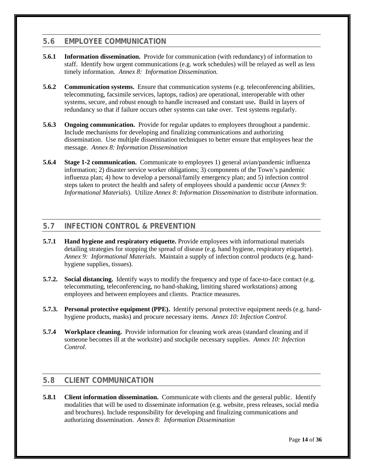## **5.6 EMPLOYEE COMMUNICATION**

- **5.6.1 Information dissemination.** Provide for communication (with redundancy) of information to staff. Identify how urgent communications (e.g. work schedules) will be relayed as well as less timely information. *[Annex 8: Information Dissemination.](#page-28-0)*
- **5.6.2 Communication systems.** Ensure that communication systems (e.g. teleconferencing abilities, telecommuting, facsimile services, laptops, radios) are operational, interoperable with other systems, secure, and robust enough to handle increased and constant use**.** Build in layers of redundancy so that if failure occurs other systems can take over. Test systems regularly.
- **5.6.3 Ongoing communication.** Provide for regular updates to employees throughout a pandemic. Include mechanisms for developing and finalizing communications and authorizing dissemination. Use multiple dissemination techniques to better ensure that employees hear the message. *[Annex 8: Information Dissemination](#page-28-0)*
- **5.6.4 Stage 1-2 communication.** Communicate to employees 1) general avian/pandemic influenza information; 2) disaster service worker obligations; 3) components of the Town's pandemic influenza plan; 4) how to develop a personal/family emergency plan; and 5) infection control steps taken to protect the health and safety of employees should a pandemic occur (*[Annex 9:](#page-31-0)  [Informational Materials](#page-31-0)*). Utilize *Annex 8: Information Dissemination* to distribute information.

## **5.7 INFECTION CONTROL & PREVENTION**

- **5.7.1 Hand hygiene and respiratory etiquette.** Provide employees with informational materials detailing strategies for stopping the spread of disease (e.g. hand hygiene, respiratory etiquette). *[Annex 9: Informational Materials.](#page-31-0)* Maintain a supply of infection control products (e.g. handhygiene supplies, tissues).
- **5.7.2. Social distancing.** Identify ways to modify the frequency and type of face-to-face contact (e.g. telecommuting, teleconferencing, no hand-shaking, limiting shared workstations) among employees and between employees and clients. Practice measures.
- **5.7.3. Personal protective equipment (PPE).** Identify personal protective equipment needs (e.g. handhygiene products, masks) and procure necessary items. *[Annex 10: Infection Control.](#page-32-0)*
- **5.7.4 Workplace cleaning.** Provide information for cleaning work areas (standard cleaning and if someone becomes ill at the worksite) and stockpile necessary supplies. *[Annex 10: Infection](#page-32-0)  [Control.](#page-32-0)*

### **5.8 CLIENT COMMUNICATION**

**5.8.1 Client information dissemination.** Communicate with clients and the general public. Identify modalities that will be used to disseminate information (e.g. website, press releases, social media and brochures). Include responsibility for developing and finalizing communications and authorizing dissemination. *[Annex 8: Information Dissemination](#page-28-0)*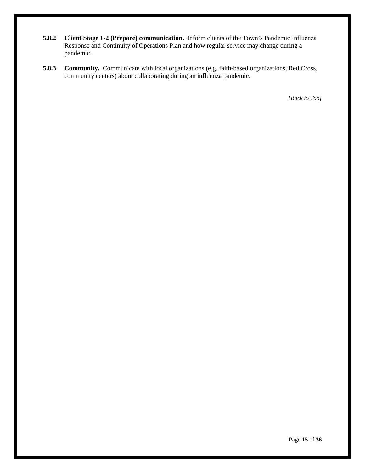- **5.8.2 Client Stage 1-2 (Prepare) communication.** Inform clients of the Town's Pandemic Influenza Response and Continuity of Operations Plan and how regular service may change during a pandemic.
- **5.8.3 Community.** Communicate with local organizations (e.g. faith-based organizations, Red Cross, community centers) about collaborating during an influenza pandemic.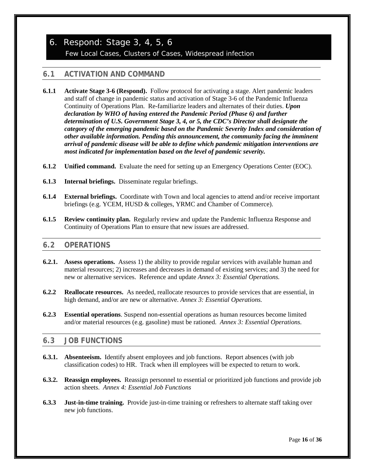# 6. Respond: Stage 3, 4, 5, 6 Few Local Cases, Clusters of Cases, Widespread infection

# **6.1 ACTIVATION AND COMMAND**

- **6.1.1 Activate Stage 3-6 (Respond).** Follow protocol for activating a stage. Alert pandemic leaders and staff of change in pandemic status and activation of Stage 3-6 of the Pandemic Influenza Continuity of Operations Plan. Re-familiarize leaders and alternates of their duties. *Upon declaration by WHO of having entered the Pandemic Period (Phase 6) and further determination of U.S. Government Stage 3, 4, or 5, the CDC's Director shall designate the category of the emerging pandemic based on the Pandemic Severity Index and consideration of other available information. Pending this announcement, the community facing the imminent arrival of pandemic disease will be able to define which pandemic mitigation interventions are most indicated for implementation based on the level of pandemic severity.*
- **6.1.2 Unified command.** Evaluate the need for setting up an Emergency Operations Center (EOC).
- **6.1.3 Internal briefings.** Disseminate regular briefings.
- **6.1.4 External briefings.** Coordinate with Town and local agencies to attend and/or receive important briefings (e.g. YCEM, HUSD & colleges, YRMC and Chamber of Commerce).
- **6.1.5 Review continuity plan.** Regularly review and update the Pandemic Influenza Response and Continuity of Operations Plan to ensure that new issues are addressed.

### **6.2 OPERATIONS**

- **6.2.1. Assess operations.** Assess 1) the ability to provide regular services with available human and material resources; 2) increases and decreases in demand of existing services; and 3) the need for new or alternative services. Reference and update *Annex 3: Essential Operations.*
- **6.2.2 Reallocate resources.** As needed, reallocate resources to provide services that are essential, in high demand, and/or are new or alternative. *Annex 3: Essential Operations.*
- **6.2.3 Essential operations**. Suspend non-essential operations as human resources become limited and/or material resources (e.g. gasoline) must be rationed. *Annex 3: Essential Operations.*

### **6.3 JOB FUNCTIONS**

- **6.3.1. Absenteeism.** Identify absent employees and job functions. Report absences (with job classification codes) to HR. Track when ill employees will be expected to return to work.
- **6.3.2. Reassign employees.** Reassign personnel to essential or prioritized job functions and provide job action sheets. *Annex 4: Essential Job Functions*
- **6.3.3 Just-in-time training.** Provide just-in-time training or refreshers to alternate staff taking over new job functions.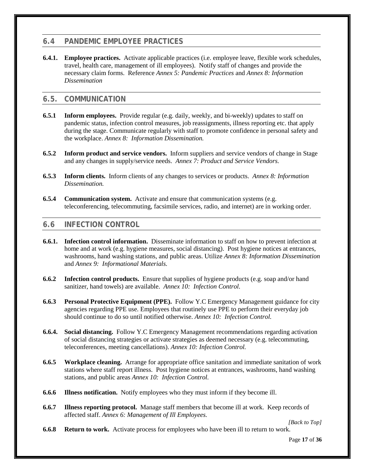## **6.4 PANDEMIC EMPLOYEE PRACTICES**

**6.4.1. Employee practices.** Activate applicable practices (i.e. employee leave, flexible work schedules, travel, health care, management of ill employees). Notify staff of changes and provide the necessary claim forms. Reference *Annex [5: Pandemic Practices](#page-25-0)* and *[Annex 8: Information](#page-28-0)  [Dissemination](#page-28-0)*

## **6.5. COMMUNICATION**

- **6.5.1 Inform employees.** Provide regular (e.g. daily, weekly, and bi-weekly) updates to staff on pandemic status, infection control measures, job reassignments, illness reporting etc. that apply during the stage. Communicate regularly with staff to promote confidence in personal safety and the workplace. *[Annex 8: Information Dissemination.](#page-28-0)*
- **6.5.2 Inform product and service vendors.** Inform suppliers and service vendors of change in Stage and any changes in supply/service needs. *Annex 7: Product and Service Vendors.*
- **6.5.3 Inform clients.** Inform clients of any changes to services or products. *[Annex 8: Information](#page-28-0)  [Dissemination.](#page-28-0)*
- **6.5.4 Communication system.** Activate and ensure that communication systems (e.g. teleconferencing, telecommuting, facsimile services, radio, and internet) are in working order.

### **6.6 INFECTION CONTROL**

- **6.6.1. Infection control information.** Disseminate information to staff on how to prevent infection at home and at work (e.g. hygiene measures, social distancing). Post hygiene notices at entrances, washrooms, hand washing stations, and public areas. Utilize *[Annex 8: Information Dissemination](#page-28-0)* and *Annex 9: Informational Materials.*
- **6.6.2 Infection control products.** Ensure that supplies of hygiene products (e.g. soap and/or hand sanitizer, hand towels) are available. *[Annex 10: Infection Control.](#page-32-0)*
- **6.6.3 Personal Protective Equipment (PPE).** Follow Y.C Emergency Management guidance for city agencies regarding PPE use. Employees that routinely use PPE to perform their everyday job should continue to do so until notified otherwise. *[Annex 10: Infection Control.](#page-32-0)*
- **6.6.4. Social distancing.** Follow Y.C Emergency Management recommendations regarding activation of social distancing strategies or activate strategies as deemed necessary (e.g. telecommuting, teleconferences, meeting cancellations). *[Annex 10: Infection Control.](#page-32-0)*
- **6.6.5 Workplace cleaning.** Arrange for appropriate office sanitation and immediate sanitation of work stations where staff report illness. Post hygiene notices at entrances, washrooms, hand washing stations, and public areas *[Annex 10: Infection Control.](#page-32-0)*
- **6.6.6 Illness notification.** Notify employees who they must inform if they become ill.
- **6.6.7 Illness reporting protocol.** Manage staff members that become ill at work. Keep records of affected staff. *[Annex 6: Management of Ill Employees.](#page-26-0)*

*[\[Back to Top\]](#page-2-0)*

**6.6.8 Return to work.** Activate process for employees who have been ill to return to work.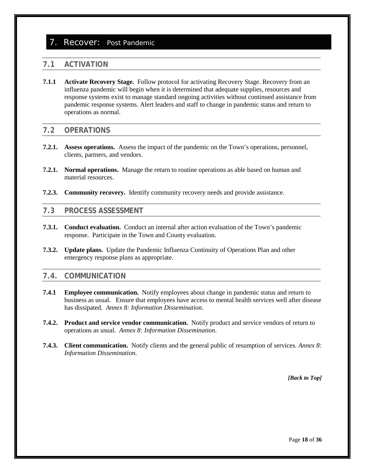### 7. Recover: Post Pandemic

#### **7.1 ACTIVATION**

**7.1.1 Activate Recovery Stage.** Follow protocol for activating Recovery Stage. Recovery from an influenza pandemic will begin when it is determined that adequate supplies, resources and response systems exist to manage standard ongoing activities without continued assistance from pandemic response systems. Alert leaders and staff to change in pandemic status and return to operations as normal.

#### **7.2 OPERATIONS**

- **7.2.1. Assess operations.** Assess the impact of the pandemic on the Town's operations, personnel, clients, partners, and vendors.
- **7.2.1. Normal operations.** Manage the return to routine operations as able based on human and material resources.
- **7.2.3. Community recovery.** Identify community recovery needs and provide assistance.

#### **7.3 PROCESS ASSESSMENT**

- **7.3.1. Conduct evaluation.** Conduct an internal after action evaluation of the Town's pandemic response. Participate in the Town and County evaluation.
- **7.3.2. Update plans.** Update the Pandemic Influenza Continuity of Operations Plan and other emergency response plans as appropriate.

#### **7.4. COMMUNICATION**

- **7.4.1 Employee communication.** Notify employees about change in pandemic status and return to business as usual. Ensure that employees have access to mental health services well after disease has dissipated. *[Annex 8: Information Dissemination](#page-28-0)*.
- **7.4.2. Product and service vendor communication.** Notify product and service vendors of return to operations as usual. *[Annex 8: Information Dissemination](#page-28-0)*.
- **7.4.3. Client communication.** Notify clients and the general public of resumption of services. *[Annex 8:](#page-28-0)  [Information Dissemination](#page-28-0)*.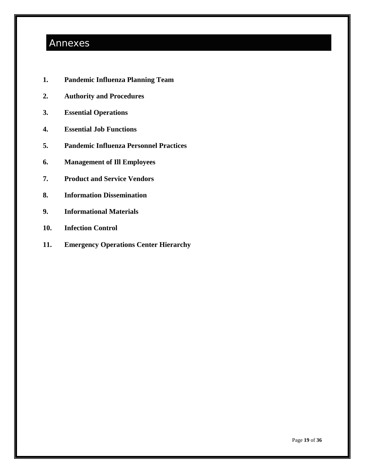# Annexes

- **1. Pandemic Influenza Planning Team**
- **2. Authority and Procedures**
- **3. Essential Operations**
- **4. Essential Job Functions**
- **5. Pandemic Influenza Personnel Practices**
- **6. Management of Ill Employees**
- **7. Product and Service Vendors**
- **8. Information Dissemination**
- **9. Informational Materials**
- **10. Infection Control**
- **11. Emergency Operations Center Hierarchy**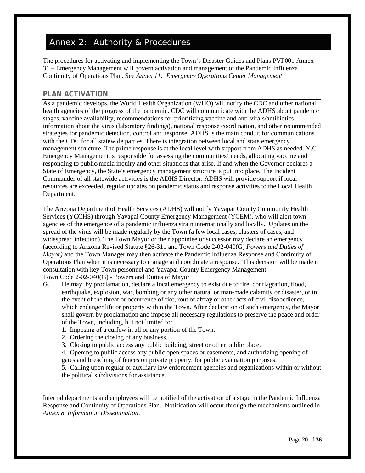# <span id="page-24-0"></span>Annex 2: Authority & Procedures

The procedures for activating and implementing the Town's Disaster Guides and Plans PVP001 Annex 31 – Emergency Management will govern activation and management of the Pandemic Influenza Continuity of Operations Plan. See *Annex 11: Emergency Operations Center Management*

### **PLAN ACTIVATION**

As a pandemic develops, the World Health Organization (WHO) will notify the CDC and other national health agencies of the progress of the pandemic. CDC will communicate with the ADHS about pandemic stages, vaccine availability, recommendations for prioritizing vaccine and anti-virals/antibiotics, information about the virus (laboratory findings), national response coordination, and other recommended strategies for pandemic detection, control and response. ADHS is the main conduit for communications with the CDC for all statewide parties. There is integration between local and state emergency management structure. The prime response is at the local level with support from ADHS as needed. Y.C Emergency Management is responsible for assessing the communities' needs, allocating vaccine and responding to public/media inquiry and other situations that arise. If and when the Governor declares a State of Emergency, the State's emergency management structure is put into place. The Incident Commander of all statewide activities is the ADHS Director. ADHS will provide support if local resources are exceeded, regular updates on pandemic status and response activities to the Local Health Department.

The Arizona Department of Health Services (ADHS) will notify Yavapai County Community Health Services (YCCHS) through Yavapai County Emergency Management (YCEM), who will alert town agencies of the emergence of a pandemic influenza strain internationally and locally. Updates on the spread of the virus will be made regularly by the Town (a few local cases, clusters of cases, and widespread infection). The Town Mayor or their appointee or successor may declare an emergency (according to Arizona Revised Statute §26-311 and Town Code 2-02-040(G) *Powers and Duties of Mayor)* and the Town Manager may then activate the Pandemic Influenza Response and Continuity of Operations Plan when it is necessary to manage and coordinate a response. This decision will be made in consultation with key Town personnel and Yavapai County Emergency Management. Town Code 2-02-040(G) - Powers and Duties of Mayor

- G. He may, by proclamation, declare a local emergency to exist due to fire, conflagration, flood, earthquake, explosion, war, bombing or any other natural or man-made calamity or disaster, or in the event of the threat or occurrence of riot, rout or affray or other acts of civil disobedience, which endanger life or property within the Town. After declaration of such emergency, the Mayor shall govern by proclamation and impose all necessary regulations to preserve the peace and order of the Town, including, but not limited to:
	- 1. Imposing of a curfew in all or any portion of the Town.
	- 2. Ordering the closing of any business.
	- 3. Closing to public access any public building, street or other public place.

4. Opening to public access any public open spaces or easements, and authorizing opening of gates and breaching of fences on private property, for public evacuation purposes.

5. Calling upon regular or auxiliary law enforcement agencies and organizations within or without the political subdivisions for assistance.

Internal departments and employees will be notified of the activation of a stage in the Pandemic Influenza Response and Continuity of Operations Plan. Notification will occur through the mechanisms outlined in *Annex 8, Information Dissemination*.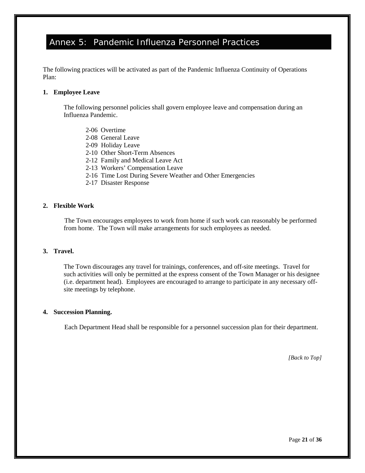# <span id="page-25-0"></span>Annex 5: Pandemic Influenza Personnel Practices

The following practices will be activated as part of the Pandemic Influenza Continuity of Operations Plan:

#### **1. Employee Leave**

The following personnel policies shall govern employee leave and compensation during an Influenza Pandemic.

- 2-06 Overtime
- 2-08 General Leave
- 2-09 Holiday Leave
- 2-10 Other Short-Term Absences
- 2-12 Family and Medical Leave Act
- 2-13 Workers' Compensation Leave
- 2-16 Time Lost During Severe Weather and Other Emergencies
- 2-17 Disaster Response

#### **2. Flexible Work**

The Town encourages employees to work from home if such work can reasonably be performed from home. The Town will make arrangements for such employees as needed.

#### **3. Travel.**

The Town discourages any travel for trainings, conferences, and off-site meetings. Travel for such activities will only be permitted at the express consent of the Town Manager or his designee (i.e. department head). Employees are encouraged to arrange to participate in any necessary offsite meetings by telephone.

#### **4. Succession Planning.**

Each Department Head shall be responsible for a personnel succession plan for their department.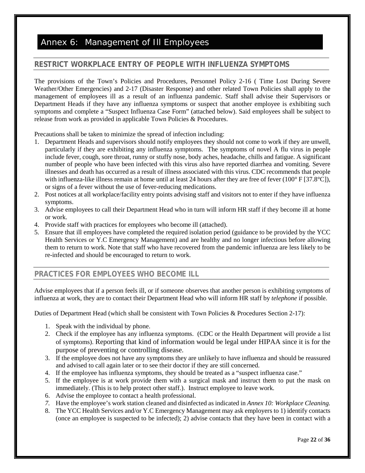# <span id="page-26-0"></span>Annex 6: Management of Ill Employees

## **RESTRICT WORKPLACE ENTRY OF PEOPLE WITH INFLUENZA SYMPTOMS**

The provisions of the Town's Policies and Procedures, Personnel Policy 2-16 ( Time Lost During Severe Weather/Other Emergencies) and 2-17 (Disaster Response) and other related Town Policies shall apply to the management of employees ill as a result of an influenza pandemic. Staff shall advise their Supervisors or Department Heads if they have any influenza symptoms or suspect that another employee is exhibiting such symptoms and complete a "Suspect Influenza Case Form" (attached below). Said employees shall be subject to release from work as provided in applicable Town Policies & Procedures.

Precautions shall be taken to minimize the spread of infection including:

- 1. Department Heads and supervisors should notify employees they should not come to work if they are unwell, particularly if they are exhibiting any influenza symptoms. The symptoms of novel A flu virus in people include fever, cough, sore throat, runny or stuffy nose, body aches, headache, chills and fatigue. A significant number of people who have been infected with this virus also have reported diarrhea and vomiting. Severe illnesses and death has occurred as a result of illness associated with this virus. CDC recommends that people with influenza-like illness remain at home until at least 24 hours after they are free of fever (100 $\degree$  F [37.8 $\degree$ C]), or signs of a fever without the use of fever-reducing medications.
- 2. Post notices at all workplace/facility entry points advising staff and visitors not to enter if they have influenza symptoms.
- 3. Advise employees to call their Department Head who in turn will inform HR staff if they become ill at home or work.
- 4. Provide staff with practices for employees who become ill (attached).
- 5. Ensure that ill employees have completed the required isolation period (guidance to be provided by the YCC Health Services or Y.C Emergency Management) and are healthy and no longer infectious before allowing them to return to work. Note that staff who have recovered from the pandemic influenza are less likely to be re-infected and should be encouraged to return to work.

### **PRACTICES FOR EMPLOYEES WHO BECOME ILL**

Advise employees that if a person feels ill, or if someone observes that another person is exhibiting symptoms of influenza at work, they are to contact their Department Head who will inform HR staff by *telephone* if possible.

Duties of Department Head (which shall be consistent with Town Policies & Procedures Section 2-17):

- 1. Speak with the individual by phone.
- 2. Check if the employee has any influenza symptoms. (CDC or the Health Department will provide a list of symptoms). Reporting that kind of information would be legal under HIPAA since it is for the purpose of preventing or controlling disease.
- 3. If the employee does not have any symptoms they are unlikely to have influenza and should be reassured and advised to call again later or to see their doctor if they are still concerned.
- 4. If the employee has influenza symptoms, they should be treated as a "suspect influenza case."
- 5. If the employee is at work provide them with a surgical mask and instruct them to put the mask on immediately. (This is to help protect other staff.). Instruct employee to leave work.
- 6. Advise the employee to contact a health professional.
- *7.* Have the employee's work station cleaned and disinfected as indicated in *[Annex 10: Workplace Cleaning.](#page-32-0)*
- 8. The YCC Health Services and/or Y.C Emergency Management may ask employers to 1) identify contacts (once an employee is suspected to be infected); 2) advise contacts that they have been in contact with a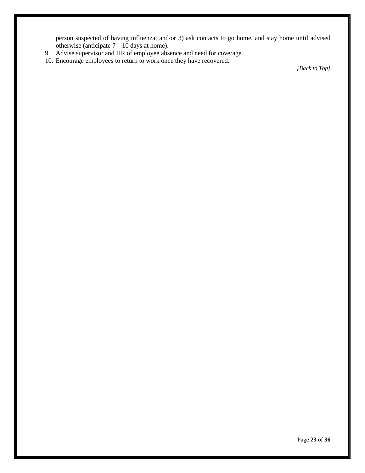person suspected of having influenza; and/or 3) ask contacts to go home, and stay home until advised otherwise (anticipate  $7 - 10$  days at home).

- 9. Advise supervisor and HR of employee absence and need for coverage.
- 10. Encourage employees to return to work once they have recovered.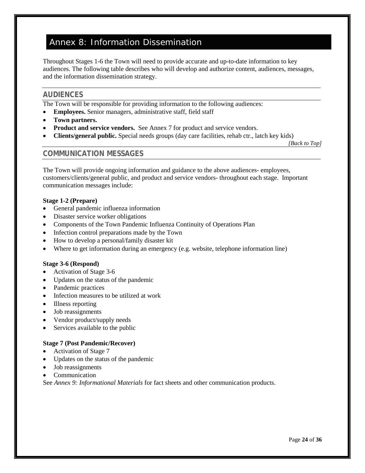# <span id="page-28-1"></span><span id="page-28-0"></span>Annex 8: Information Dissemination

Throughout Stages 1-6 the Town will need to provide accurate and up-to-date information to key audiences. The following table describes who will develop and authorize content, audiences, messages, and the information dissemination strategy.

### **AUDIENCES**

The Town will be responsible for providing information to the following audiences:

- **Employees.** Senior managers, administrative staff, field staff
- **Town partners.**
- **Product and service vendors.** See Annex 7 for product and service vendors.
- **Clients/general public.** Special needs groups (day care facilities, rehab ctr., latch key kids)

*[\[Back to Top\]](#page-2-0)*

#### **COMMUNICATION MESSAGES**

The Town will provide ongoing information and guidance to the above audiences- employees, customers/clients/general public, and product and service vendors- throughout each stage. Important communication messages include:

#### **Stage 1-2 (Prepare)**

- General pandemic influenza information
- Disaster service worker obligations
- Components of the Town Pandemic Influenza Continuity of Operations Plan
- Infection control preparations made by the Town
- How to develop a personal/family disaster kit
- Where to get information during an emergency (e.g. website, telephone information line)

#### **Stage 3-6 (Respond)**

- Activation of Stage 3-6
- Updates on the status of the pandemic
- Pandemic practices
- Infection measures to be utilized at work
- Illness reporting
- Job reassignments
- Vendor product/supply needs
- Services available to the public

#### **Stage 7 (Post Pandemic/Recover)**

- Activation of Stage 7
- Updates on the status of the pandemic
- Job reassignments
- Communication

See *[Annex 9: Informational Materials](#page-31-0)* for fact sheets and other communication products.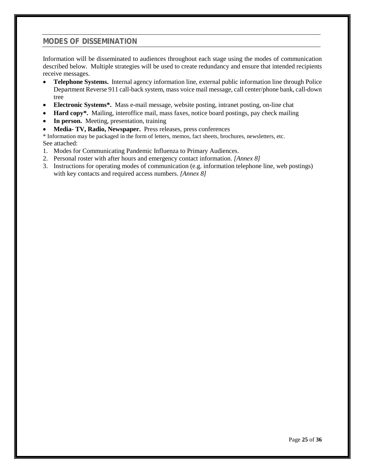### **MODES OF DISSEMINATION**

Information will be disseminated to audiences throughout each stage using the modes of communication described below. Multiple strategies will be used to create redundancy and ensure that intended recipients receive messages.

- **Telephone Systems.** Internal agency information line, external public information line through Police Department Reverse 911 call-back system, mass voice mail message, call center/phone bank, call-down tree
- **Electronic Systems\*.** Mass e-mail message, website posting, intranet posting, on-line chat
- **Hard copy\*.** Mailing, interoffice mail, mass faxes, notice board postings, pay check mailing
- **In person.** Meeting, presentation, training
- **Media- TV, Radio, Newspaper.** Press releases, press conferences

\* Information may be packaged in the form of letters, memos, fact sheets, brochures, newsletters, etc. See attached:

- 1. Modes for Communicating Pandemic Influenza to Primary Audiences.
- 2. Personal roster with after hours and emergency contact information. *[Annex 8]*
- 3. Instructions for operating modes of communication (e.g. information telephone line, web postings) with key contacts and required access numbers. *[Annex 8]*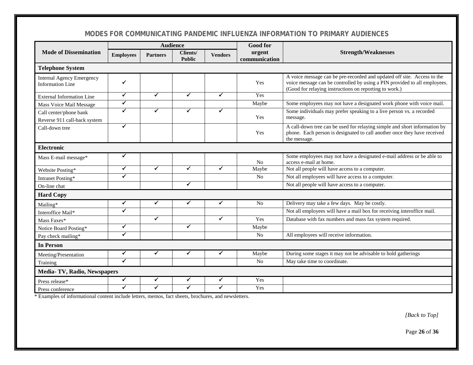# **MODES FOR COMMUNICATING PANDEMIC INFLUENZA INFORMATION TO PRIMARY AUDIENCES**

|                                                             | <b>Audience</b>      |                 |                           |                | <b>Good for</b>         |                                                                                                                                                                                                                |  |
|-------------------------------------------------------------|----------------------|-----------------|---------------------------|----------------|-------------------------|----------------------------------------------------------------------------------------------------------------------------------------------------------------------------------------------------------------|--|
| <b>Mode of Dissemination</b>                                | <b>Employees</b>     | <b>Partners</b> | Clients/<br><b>Public</b> | <b>Vendors</b> | urgent<br>communication | <b>Strength/Weaknesses</b>                                                                                                                                                                                     |  |
| <b>Telephone System</b>                                     |                      |                 |                           |                |                         |                                                                                                                                                                                                                |  |
| <b>Internal Agency Emergency</b><br><b>Information Line</b> | ✔                    |                 |                           |                | Yes                     | A voice message can be pre-recorded and updated off site. Access to the<br>voice message can be controlled by using a PIN provided to all employees.<br>(Good for relaying instructions on reporting to work.) |  |
| External Information Line                                   | ✓                    | ✓               | ✓                         | ✓              | Yes                     |                                                                                                                                                                                                                |  |
| Mass Voice Mail Message                                     | ✔                    |                 |                           |                | Maybe                   | Some employees may not have a designated work phone with voice mail.                                                                                                                                           |  |
| Call center/phone bank<br>Reverse 911 call-back system      | ✔                    | ✔               | ✔                         | ✔              | Yes                     | Some individuals may prefer speaking to a live person vs. a recorded<br>message.                                                                                                                               |  |
| Call-down tree                                              | ✔                    |                 |                           |                | Yes                     | A call-down tree can be used for relaying simple and short information by<br>phone. Each person is designated to call another once they have received<br>the message.                                          |  |
| <b>Electronic</b>                                           |                      |                 |                           |                |                         |                                                                                                                                                                                                                |  |
| Mass E-mail message*                                        | ✓                    |                 |                           |                | No                      | Some employees may not have a designated e-mail address or be able to<br>access e-mail at home.                                                                                                                |  |
| Website Posting*                                            | $\checkmark$         | ✓               | ✓                         | ✔              | Maybe                   | Not all people will have access to a computer.                                                                                                                                                                 |  |
| Intranet Posting*                                           | ✓                    |                 |                           |                | N <sub>0</sub>          | Not all employees will have access to a computer.                                                                                                                                                              |  |
| On-line chat                                                |                      |                 | ✔                         |                |                         | Not all people will have access to a computer.                                                                                                                                                                 |  |
| <b>Hard Copy</b>                                            |                      |                 |                           |                |                         |                                                                                                                                                                                                                |  |
| Mailing*                                                    | ✓                    | ✓               | ✓                         | ✓              | N <sub>0</sub>          | Delivery may take a few days. May be costly.                                                                                                                                                                   |  |
| Interoffice Mail*                                           | ✓                    |                 |                           |                |                         | Not all employees will have a mail box for receiving interoffice mail.                                                                                                                                         |  |
| Mass Faxes*                                                 |                      | $\checkmark$    |                           | ✓              | Yes                     | Database with fax numbers and mass fax system required.                                                                                                                                                        |  |
| Notice Board Posting*                                       | ✔                    |                 | ✔                         |                | Maybe                   |                                                                                                                                                                                                                |  |
| Pay check mailing*                                          | ✓                    |                 |                           |                | N <sub>0</sub>          | All employees will receive information.                                                                                                                                                                        |  |
| <b>In Person</b>                                            |                      |                 |                           |                |                         |                                                                                                                                                                                                                |  |
| Meeting/Presentation                                        | ✓                    | ✓               | ✔                         | ✔              | Maybe                   | During some stages it may not be advisable to hold gatherings                                                                                                                                                  |  |
| Training                                                    | $\blacktriangledown$ |                 |                           |                | No                      | May take time to coordinate.                                                                                                                                                                                   |  |
| Media-TV, Radio, Newspapers                                 |                      |                 |                           |                |                         |                                                                                                                                                                                                                |  |
| Press release*                                              | ✔                    | ✓               | ✓                         | ✓              | Yes                     |                                                                                                                                                                                                                |  |
| Press conference                                            | ✔                    |                 | ✔                         |                | Yes                     |                                                                                                                                                                                                                |  |

\* Examples of informational content include letters, memos, fact sheets, brochures, and newsletters.

*[\[Back to Top\]](#page-2-1)*

Page **26** of **36**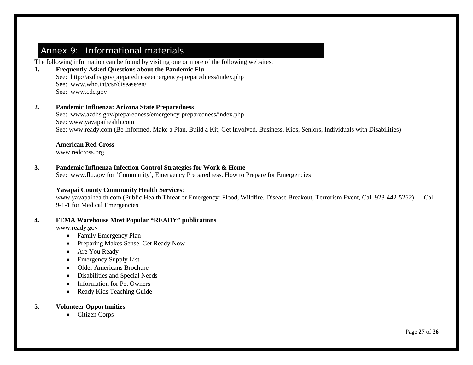# <span id="page-31-1"></span>Annex 9: Informational materials

The following information can be found by visiting one or more of the following websites.

#### **1. Frequently Asked Questions about the Pandemic Flu**

See: <http://azdhs.gov/preparedness/emergency-preparedness/index.php> See: [www.who.int/csr/disease/en/](http://www.who.int/csr/disease/en/) See: [www.cdc.gov](http://www.cdc.gov/)

#### **2. Pandemic Influenza: Arizona State Preparedness**

See: [www.azdhs.gov/preparedness/emergency-preparedness/index.php](http://www.azdhs.gov/preparedness/emergency-preparedness/index.php) See: [www.yavapaihealth.com](http://www.yavapaihealth.com/) See: [www.ready.com](http://www.ready.com/) (Be Informed, Make a Plan, Build a Kit, Get Involved, Business, Kids, Seniors, Individuals with Disabilities)

#### **American Red Cross**

[www.redcross.org](http://www.redcross.org/)

#### <span id="page-31-0"></span>**3. Pandemic Influenza Infection Control Strategies for Work & Home**

See: [www.flu.gov](http://www.flu.gov/) for 'Community', Emergency Preparedness, How to Prepare for Emergencies

#### **Yavapai County Community Health Services**:

[www.yavapaihealth.com](http://www.yavapaihealth.com/) (Public Health Threat or Emergency: Flood, Wildfire, Disease Breakout, Terrorism Event, Call 928-442-5262) Call 9-1-1 for Medical Emergencies

#### **4. FEMA Warehouse Most Popular "READY" publications**

[www.ready.gov](http://www.ready.gov/)

- Family Emergency Plan
- Preparing Makes Sense. Get Ready Now
- Are You Ready
- Emergency Supply List
- Older Americans Brochure
- Disabilities and Special Needs
- Information for Pet Owners
- Ready Kids Teaching Guide

#### **5. Volunteer Opportunities**

• Citizen Corps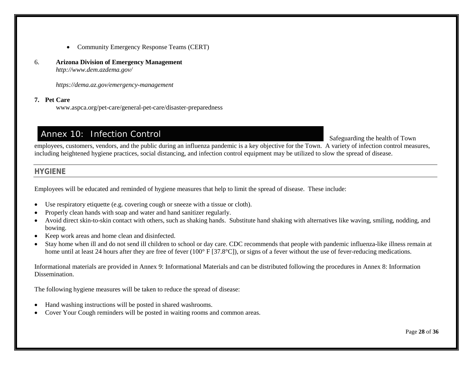- Community Emergency Response Teams (CERT)
- 6. **Arizona Division of Emergency Management**  *<http://www.dem.azdema.gov/>*

*<https://dema.az.gov/emergency-management>*

#### **7. Pet Care**

[www.aspca.org/pet-care/general-pet-care/disaster-preparedness](http://www.aspca.org/pet-care/general-pet-care/disaster-preparedness)

# Annex 10: Infection Control

Safeguarding the health of Town

employees, customers, vendors, and the public during an influenza pandemic is a key objective for the Town. A variety of infection control measures, including heightened hygiene practices, social distancing, and infection control equipment may be utilized to slow the spread of disease.

#### **HYGIENE**

Employees will be educated and reminded of hygiene measures that help to limit the spread of disease. These include:

- Use respiratory etiquette (e.g. covering cough or sneeze with a tissue or cloth).
- Properly clean hands with soap and water and hand sanitizer regularly.
- Avoid direct skin-to-skin contact with others, such as shaking hands. Substitute hand shaking with alternatives like waving, smiling, nodding, and bowing.
- <span id="page-32-0"></span>• Keep work areas and home clean and disinfected.
- Stay home when ill and do not send ill children to school or day care. CDC recommends that people with pandemic influenza-like illness remain at home until at least 24 hours after they are free of fever (100° F [37.8°C]), or signs of a fever without the use of fever-reducing medications.

Informational materials are provided in Annex 9: [Informational Materials](#page-31-1) and can be distributed following the procedures in Annex 8: [Information](#page-28-1)  [Dissemination.](#page-28-1)

The following hygiene measures will be taken to reduce the spread of disease:

- Hand washing instructions will be posted in shared washrooms.
- Cover Your Cough reminders will be posted in waiting rooms and common areas.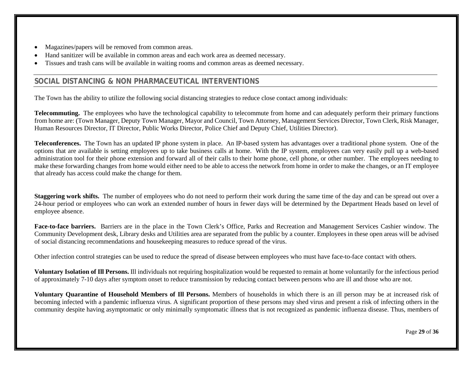- Magazines/papers will be removed from common areas.
- Hand sanitizer will be available in common areas and each work area as deemed necessary.
- Tissues and trash cans will be available in waiting rooms and common areas as deemed necessary.

# **SOCIAL DISTANCING & NON PHARMACEUTICAL INTERVENTIONS**

The Town has the ability to utilize the following social distancing strategies to reduce close contact among individuals:

**Telecommuting.** The employees who have the technological capability to telecommute from home and can adequately perform their primary functions from home are: (Town Manager, Deputy Town Manager, Mayor and Council, Town Attorney, Management Services Director, Town Clerk, Risk Manager, Human Resources Director, IT Director, Public Works Director, Police Chief and Deputy Chief, Utilities Director).

**Teleconferences.** The Town has an updated IP phone system in place. An IP-based system has advantages over a traditional phone system. One of the options that are available is setting employees up to take business calls at home. With the IP system, employees can very easily pull up a web-based administration tool for their phone extension and forward all of their calls to their home phone, cell phone, or other number. The employees needing to make these forwarding changes from home would either need to be able to access the network from home in order to make the changes, or an IT employee that already has access could make the change for them.

**Staggering work shifts.** The number of employees who do not need to perform their work during the same time of the day and can be spread out over a 24-hour period or employees who can work an extended number of hours in fewer days will be determined by the Department Heads based on level of employee absence.

**Face-to-face barriers.** Barriers are in the place in the Town Clerk's Office, Parks and Recreation and Management Services Cashier window. The Community Development desk, Library desks and Utilities area are separated from the public by a counter. Employees in these open areas will be advised of social distancing recommendations and housekeeping measures to reduce spread of the virus.

Other infection control strategies can be used to reduce the spread of disease between employees who must have face-to-face contact with others.

**Voluntary Isolation of Ill Persons.** Ill individuals not requiring hospitalization would be requested to remain at home voluntarily for the infectious period of approximately 7-10 days after symptom onset to reduce transmission by reducing contact between persons who are ill and those who are not.

**Voluntary Quarantine of Household Members of Ill Persons.** Members of households in which there is an ill person may be at increased risk of becoming infected with a pandemic influenza virus. A significant proportion of these persons may shed virus and present a risk of infecting others in the community despite having asymptomatic or only minimally symptomatic illness that is not recognized as pandemic influenza disease. Thus, members of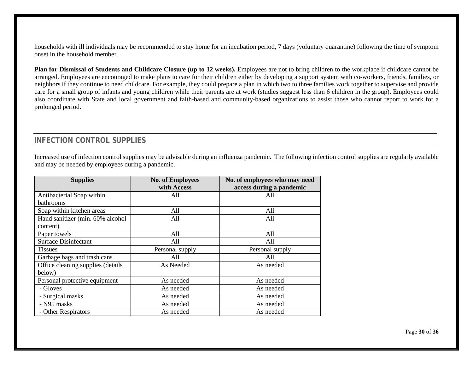households with ill individuals may be recommended to stay home for an incubation period, 7 days (voluntary quarantine) following the time of symptom onset in the household member.

**Plan for Dismissal of Students and Childcare Closure (up to 12 weeks).** Employees are not to bring children to the workplace if childcare cannot be arranged. Employees are encouraged to make plans to care for their children either by developing a support system with co-workers, friends, families, or neighbors if they continue to need childcare. For example, they could prepare a plan in which two to three families work together to supervise and provide care for a small group of infants and young children while their parents are at work (studies suggest less than 6 children in the group). Employees could also coordinate with State and local government and faith-based and community-based organizations to assist those who cannot report to work for a prolonged period.

## **INFECTION CONTROL SUPPLIES**

Increased use of infection control supplies may be advisable during an influenza pandemic. The following infection control supplies are regularly available and may be needed by employees during a pandemic.

| <b>Supplies</b>                   | <b>No. of Employees</b> | No. of employees who may need |  |
|-----------------------------------|-------------------------|-------------------------------|--|
|                                   | with Access             | access during a pandemic      |  |
| Antibacterial Soap within         | All                     | All                           |  |
| <b>bathrooms</b>                  |                         |                               |  |
| Soap within kitchen areas         | All                     | All                           |  |
| Hand sanitizer (min. 60% alcohol  | All                     | All                           |  |
| content)                          |                         |                               |  |
| Paper towels                      | All                     | All                           |  |
| <b>Surface Disinfectant</b>       | All                     | A11                           |  |
| <b>Tissues</b>                    | Personal supply         | Personal supply               |  |
| Garbage bags and trash cans       | All                     | All                           |  |
| Office cleaning supplies (details | As Needed               | As needed                     |  |
| below)                            |                         |                               |  |
| Personal protective equipment     | As needed               | As needed                     |  |
| - Gloves                          | As needed               | As needed                     |  |
| - Surgical masks                  | As needed               | As needed                     |  |
| - N95 masks                       | As needed               | As needed                     |  |
| - Other Respirators               | As needed               | As needed                     |  |